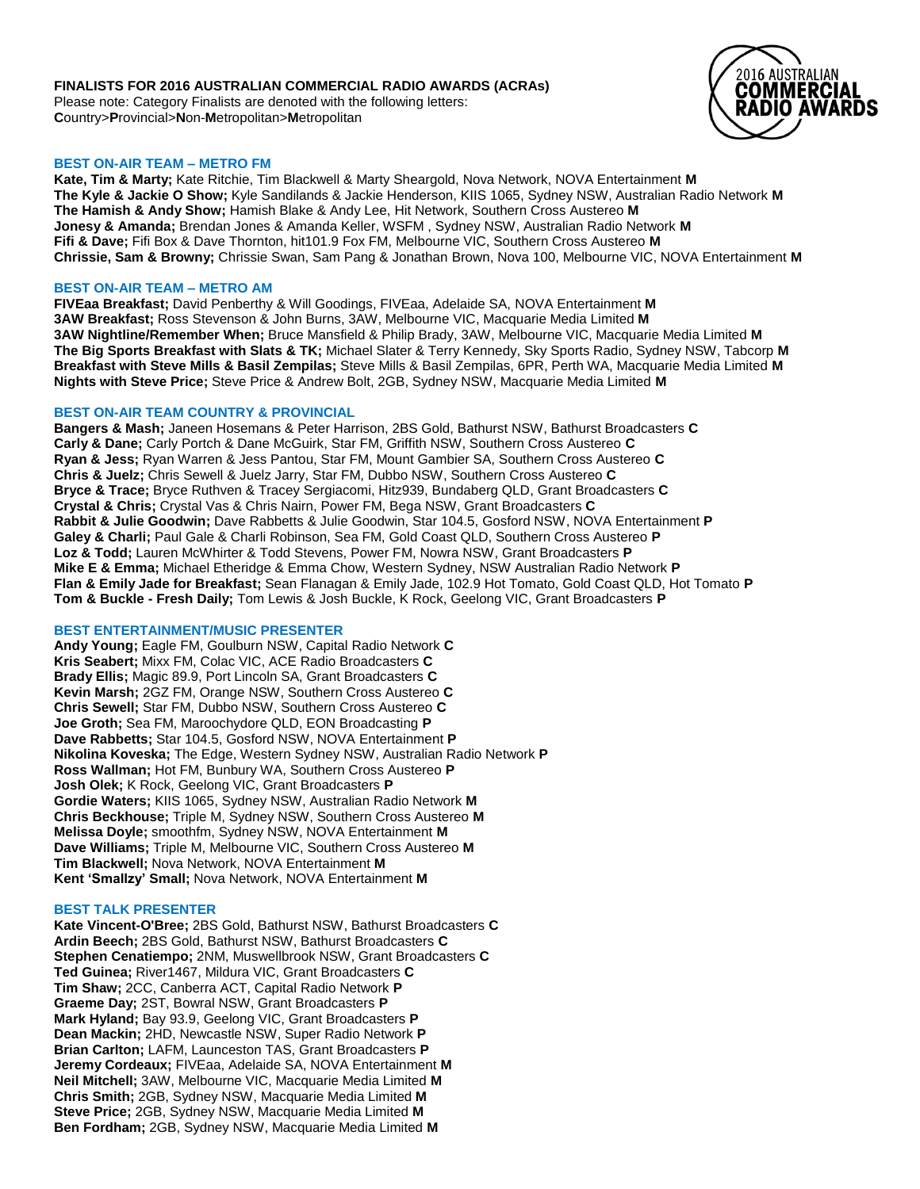## **FINALISTS FOR 2016 AUSTRALIAN COMMERCIAL RADIO AWARDS (ACRAs)**

Please note: Category Finalists are denoted with the following letters: **C**ountry>**P**rovincial>**N**on-**M**etropolitan>**M**etropolitan



### **BEST ON-AIR TEAM – METRO FM**

**Kate, Tim & Marty;** Kate Ritchie, Tim Blackwell & Marty Sheargold, Nova Network, NOVA Entertainment **M The Kyle & Jackie O Show;** Kyle Sandilands & Jackie Henderson, KIIS 1065, Sydney NSW, Australian Radio Network **M The Hamish & Andy Show;** Hamish Blake & Andy Lee, Hit Network, Southern Cross Austereo **M Jonesy & Amanda;** Brendan Jones & Amanda Keller, WSFM , Sydney NSW, Australian Radio Network **M Fifi & Dave;** Fifi Box & Dave Thornton, hit101.9 Fox FM, Melbourne VIC, Southern Cross Austereo **M Chrissie, Sam & Browny;** Chrissie Swan, Sam Pang & Jonathan Brown, Nova 100, Melbourne VIC, NOVA Entertainment **M**

#### **BEST ON-AIR TEAM – METRO AM**

**FIVEaa Breakfast;** David Penberthy & Will Goodings, FIVEaa, Adelaide SA, NOVA Entertainment **M 3AW Breakfast;** Ross Stevenson & John Burns, 3AW, Melbourne VIC, Macquarie Media Limited **M 3AW Nightline/Remember When;** Bruce Mansfield & Philip Brady, 3AW, Melbourne VIC, Macquarie Media Limited **M The Big Sports Breakfast with Slats & TK;** Michael Slater & Terry Kennedy, Sky Sports Radio, Sydney NSW, Tabcorp **M Breakfast with Steve Mills & Basil Zempilas;** Steve Mills & Basil Zempilas, 6PR, Perth WA, Macquarie Media Limited **M Nights with Steve Price;** Steve Price & Andrew Bolt, 2GB, Sydney NSW, Macquarie Media Limited **M**

## **BEST ON-AIR TEAM COUNTRY & PROVINCIAL**

**Bangers & Mash;** Janeen Hosemans & Peter Harrison, 2BS Gold, Bathurst NSW, Bathurst Broadcasters **C Carly & Dane;** Carly Portch & Dane McGuirk, Star FM, Griffith NSW, Southern Cross Austereo **C Ryan & Jess;** Ryan Warren & Jess Pantou, Star FM, Mount Gambier SA, Southern Cross Austereo **C Chris & Juelz;** Chris Sewell & Juelz Jarry, Star FM, Dubbo NSW, Southern Cross Austereo **C Bryce & Trace;** Bryce Ruthven & Tracey Sergiacomi, Hitz939, Bundaberg QLD, Grant Broadcasters **C Crystal & Chris;** Crystal Vas & Chris Nairn, Power FM, Bega NSW, Grant Broadcasters **C Rabbit & Julie Goodwin;** Dave Rabbetts & Julie Goodwin, Star 104.5, Gosford NSW, NOVA Entertainment **P Galey & Charli;** Paul Gale & Charli Robinson, Sea FM, Gold Coast QLD, Southern Cross Austereo **P Loz & Todd;** Lauren McWhirter & Todd Stevens, Power FM, Nowra NSW, Grant Broadcasters **P Mike E & Emma;** Michael Etheridge & Emma Chow, Western Sydney, NSW Australian Radio Network **P Flan & Emily Jade for Breakfast;** Sean Flanagan & Emily Jade, 102.9 Hot Tomato, Gold Coast QLD, Hot Tomato **P Tom & Buckle - Fresh Daily;** Tom Lewis & Josh Buckle, K Rock, Geelong VIC, Grant Broadcasters **P**

#### **BEST ENTERTAINMENT/MUSIC PRESENTER**

**Andy Young;** Eagle FM, Goulburn NSW, Capital Radio Network **C Kris Seabert;** Mixx FM, Colac VIC, ACE Radio Broadcasters **C Brady Ellis;** Magic 89.9, Port Lincoln SA, Grant Broadcasters **C Kevin Marsh;** 2GZ FM, Orange NSW, Southern Cross Austereo **C Chris Sewell;** Star FM, Dubbo NSW, Southern Cross Austereo **C Joe Groth;** Sea FM, Maroochydore QLD, EON Broadcasting **P Dave Rabbetts;** Star 104.5, Gosford NSW, NOVA Entertainment **P Nikolina Koveska;** The Edge, Western Sydney NSW, Australian Radio Network **P Ross Wallman;** Hot FM, Bunbury WA, Southern Cross Austereo **P Josh Olek;** K Rock, Geelong VIC, Grant Broadcasters **P Gordie Waters;** KIIS 1065, Sydney NSW, Australian Radio Network **M Chris Beckhouse;** Triple M, Sydney NSW, Southern Cross Austereo **M Melissa Doyle;** smoothfm, Sydney NSW, NOVA Entertainment **M Dave Williams;** Triple M, Melbourne VIC, Southern Cross Austereo **M Tim Blackwell;** Nova Network, NOVA Entertainment **M Kent 'Smallzy' Small;** Nova Network, NOVA Entertainment **M**

#### **BEST TALK PRESENTER**

**Kate Vincent-O'Bree;** 2BS Gold, Bathurst NSW, Bathurst Broadcasters **C Ardin Beech;** 2BS Gold, Bathurst NSW, Bathurst Broadcasters **C Stephen Cenatiempo;** 2NM, Muswellbrook NSW, Grant Broadcasters **C Ted Guinea;** River1467, Mildura VIC, Grant Broadcasters **C Tim Shaw;** 2CC, Canberra ACT, Capital Radio Network **P Graeme Day;** 2ST, Bowral NSW, Grant Broadcasters **P Mark Hyland;** Bay 93.9, Geelong VIC, Grant Broadcasters **P Dean Mackin;** 2HD, Newcastle NSW, Super Radio Network **P Brian Carlton;** LAFM, Launceston TAS, Grant Broadcasters **P Jeremy Cordeaux;** FIVEaa, Adelaide SA, NOVA Entertainment **M Neil Mitchell;** 3AW, Melbourne VIC, Macquarie Media Limited **M Chris Smith;** 2GB, Sydney NSW, Macquarie Media Limited **M Steve Price;** 2GB, Sydney NSW, Macquarie Media Limited **M Ben Fordham;** 2GB, Sydney NSW, Macquarie Media Limited **M**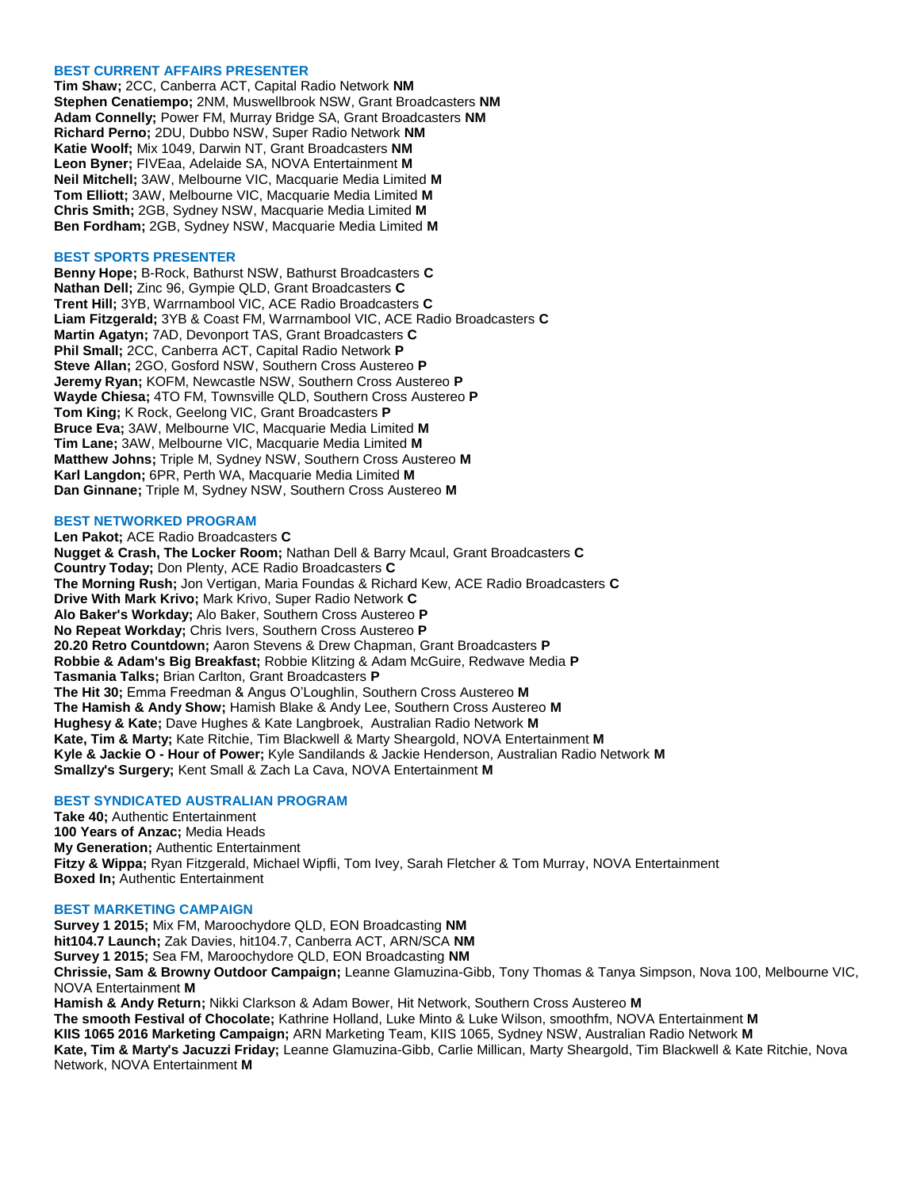### **BEST CURRENT AFFAIRS PRESENTER**

**Tim Shaw;** 2CC, Canberra ACT, Capital Radio Network **NM Stephen Cenatiempo;** 2NM, Muswellbrook NSW, Grant Broadcasters **NM Adam Connelly;** Power FM, Murray Bridge SA, Grant Broadcasters **NM Richard Perno;** 2DU, Dubbo NSW, Super Radio Network **NM Katie Woolf;** Mix 1049, Darwin NT, Grant Broadcasters **NM Leon Byner;** FIVEaa, Adelaide SA, NOVA Entertainment **M Neil Mitchell;** 3AW, Melbourne VIC, Macquarie Media Limited **M Tom Elliott;** 3AW, Melbourne VIC, Macquarie Media Limited **M Chris Smith;** 2GB, Sydney NSW, Macquarie Media Limited **M Ben Fordham;** 2GB, Sydney NSW, Macquarie Media Limited **M**

#### **BEST SPORTS PRESENTER**

**Benny Hope;** B-Rock, Bathurst NSW, Bathurst Broadcasters **C Nathan Dell;** Zinc 96, Gympie QLD, Grant Broadcasters **C Trent Hill;** 3YB, Warrnambool VIC, ACE Radio Broadcasters **C Liam Fitzgerald;** 3YB & Coast FM, Warrnambool VIC, ACE Radio Broadcasters **C Martin Agatyn;** 7AD, Devonport TAS, Grant Broadcasters **C Phil Small;** 2CC, Canberra ACT, Capital Radio Network **P Steve Allan;** 2GO, Gosford NSW, Southern Cross Austereo **P Jeremy Ryan;** KOFM, Newcastle NSW, Southern Cross Austereo **P Wayde Chiesa;** 4TO FM, Townsville QLD, Southern Cross Austereo **P Tom King;** K Rock, Geelong VIC, Grant Broadcasters **P Bruce Eva;** 3AW, Melbourne VIC, Macquarie Media Limited **M Tim Lane;** 3AW, Melbourne VIC, Macquarie Media Limited **M Matthew Johns;** Triple M, Sydney NSW, Southern Cross Austereo **M Karl Langdon;** 6PR, Perth WA, Macquarie Media Limited **M Dan Ginnane;** Triple M, Sydney NSW, Southern Cross Austereo **M**

### **BEST NETWORKED PROGRAM**

**Len Pakot;** ACE Radio Broadcasters **C Nugget & Crash, The Locker Room;** Nathan Dell & Barry Mcaul, Grant Broadcasters **C Country Today;** Don Plenty, ACE Radio Broadcasters **C The Morning Rush;** Jon Vertigan, Maria Foundas & Richard Kew, ACE Radio Broadcasters **C Drive With Mark Krivo;** Mark Krivo, Super Radio Network **C Alo Baker's Workday;** Alo Baker, Southern Cross Austereo **P No Repeat Workday;** Chris Ivers, Southern Cross Austereo **P 20.20 Retro Countdown;** Aaron Stevens & Drew Chapman, Grant Broadcasters **P Robbie & Adam's Big Breakfast;** Robbie Klitzing & Adam McGuire, Redwave Media **P Tasmania Talks;** Brian Carlton, Grant Broadcasters **P The Hit 30;** Emma Freedman & Angus O'Loughlin, Southern Cross Austereo **M The Hamish & Andy Show;** Hamish Blake & Andy Lee, Southern Cross Austereo **M Hughesy & Kate;** Dave Hughes & Kate Langbroek, Australian Radio Network **M Kate, Tim & Marty;** Kate Ritchie, Tim Blackwell & Marty Sheargold, NOVA Entertainment **M Kyle & Jackie O - Hour of Power;** Kyle Sandilands & Jackie Henderson, Australian Radio Network **M Smallzy's Surgery;** Kent Small & Zach La Cava, NOVA Entertainment **M**

## **BEST SYNDICATED AUSTRALIAN PROGRAM**

**Take 40;** Authentic Entertainment **100 Years of Anzac;** Media Heads **My Generation;** Authentic Entertainment **Fitzy & Wippa;** Ryan Fitzgerald, Michael Wipfli, Tom Ivey, Sarah Fletcher & Tom Murray, NOVA Entertainment **Boxed In;** Authentic Entertainment

#### **BEST MARKETING CAMPAIGN**

**Survey 1 2015;** Mix FM, Maroochydore QLD, EON Broadcasting **NM hit104.7 Launch;** Zak Davies, hit104.7, Canberra ACT, ARN/SCA **NM Survey 1 2015;** Sea FM, Maroochydore QLD, EON Broadcasting **NM Chrissie, Sam & Browny Outdoor Campaign;** Leanne Glamuzina-Gibb, Tony Thomas & Tanya Simpson, Nova 100, Melbourne VIC, NOVA Entertainment **M Hamish & Andy Return;** Nikki Clarkson & Adam Bower, Hit Network, Southern Cross Austereo **M The smooth Festival of Chocolate;** Kathrine Holland, Luke Minto & Luke Wilson, smoothfm, NOVA Entertainment **M KIIS 1065 2016 Marketing Campaign;** ARN Marketing Team, KIIS 1065, Sydney NSW, Australian Radio Network **M Kate, Tim & Marty's Jacuzzi Friday;** Leanne Glamuzina-Gibb, Carlie Millican, Marty Sheargold, Tim Blackwell & Kate Ritchie, Nova Network, NOVA Entertainment **M**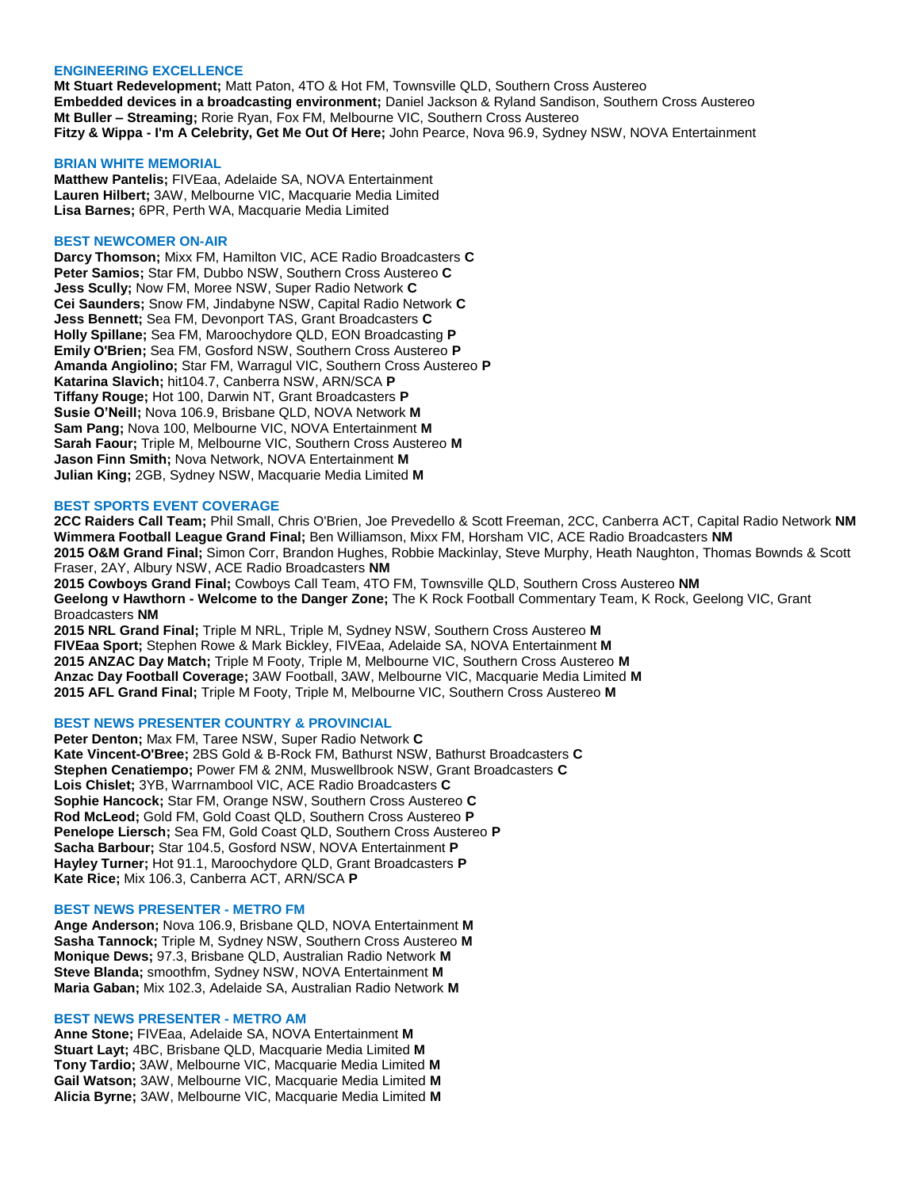#### **ENGINEERING EXCELLENCE**

**Mt Stuart Redevelopment;** Matt Paton, 4TO & Hot FM, Townsville QLD, Southern Cross Austereo **Embedded devices in a broadcasting environment;** Daniel Jackson & Ryland Sandison, Southern Cross Austereo **Mt Buller – Streaming;** Rorie Ryan, Fox FM, Melbourne VIC, Southern Cross Austereo **Fitzy & Wippa - I'm A Celebrity, Get Me Out Of Here;** John Pearce, Nova 96.9, Sydney NSW, NOVA Entertainment

#### **BRIAN WHITE MEMORIAL**

**Matthew Pantelis;** FIVEaa, Adelaide SA, NOVA Entertainment **Lauren Hilbert;** 3AW, Melbourne VIC, Macquarie Media Limited **Lisa Barnes;** 6PR, Perth WA, Macquarie Media Limited

#### **BEST NEWCOMER ON-AIR**

**Darcy Thomson;** Mixx FM, Hamilton VIC, ACE Radio Broadcasters **C Peter Samios;** Star FM, Dubbo NSW, Southern Cross Austereo **C Jess Scully;** Now FM, Moree NSW, Super Radio Network **C Cei Saunders;** Snow FM, Jindabyne NSW, Capital Radio Network **C Jess Bennett;** Sea FM, Devonport TAS, Grant Broadcasters **C Holly Spillane;** Sea FM, Maroochydore QLD, EON Broadcasting **P Emily O'Brien;** Sea FM, Gosford NSW, Southern Cross Austereo **P Amanda Angiolino;** Star FM, Warragul VIC, Southern Cross Austereo **P Katarina Slavich;** hit104.7, Canberra NSW, ARN/SCA **P Tiffany Rouge;** Hot 100, Darwin NT, Grant Broadcasters **P Susie O'Neill;** Nova 106.9, Brisbane QLD, NOVA Network **M Sam Pang;** Nova 100, Melbourne VIC, NOVA Entertainment **M Sarah Faour;** Triple M, Melbourne VIC, Southern Cross Austereo **M Jason Finn Smith;** Nova Network, NOVA Entertainment **M Julian King;** 2GB, Sydney NSW, Macquarie Media Limited **M**

#### **BEST SPORTS EVENT COVERAGE**

**2CC Raiders Call Team;** Phil Small, Chris O'Brien, Joe Prevedello & Scott Freeman, 2CC, Canberra ACT, Capital Radio Network **NM Wimmera Football League Grand Final;** Ben Williamson, Mixx FM, Horsham VIC, ACE Radio Broadcasters **NM 2015 O&M Grand Final;** Simon Corr, Brandon Hughes, Robbie Mackinlay, Steve Murphy, Heath Naughton, Thomas Bownds & Scott Fraser, 2AY, Albury NSW, ACE Radio Broadcasters **NM 2015 Cowboys Grand Final;** Cowboys Call Team, 4TO FM, Townsville QLD, Southern Cross Austereo **NM**

**Geelong v Hawthorn - Welcome to the Danger Zone;** The K Rock Football Commentary Team, K Rock, Geelong VIC, Grant Broadcasters **NM**

**2015 NRL Grand Final;** Triple M NRL, Triple M, Sydney NSW, Southern Cross Austereo **M FIVEaa Sport;** Stephen Rowe & Mark Bickley, FIVEaa, Adelaide SA, NOVA Entertainment **M 2015 ANZAC Day Match;** Triple M Footy, Triple M, Melbourne VIC, Southern Cross Austereo **M Anzac Day Football Coverage;** 3AW Football, 3AW, Melbourne VIC, Macquarie Media Limited **M 2015 AFL Grand Final;** Triple M Footy, Triple M, Melbourne VIC, Southern Cross Austereo **M**

## **BEST NEWS PRESENTER COUNTRY & PROVINCIAL**

**Peter Denton;** Max FM, Taree NSW, Super Radio Network **C Kate Vincent-O'Bree;** 2BS Gold & B-Rock FM, Bathurst NSW, Bathurst Broadcasters **C Stephen Cenatiempo;** Power FM & 2NM, Muswellbrook NSW, Grant Broadcasters **C Lois Chislet;** 3YB, Warrnambool VIC, ACE Radio Broadcasters **C Sophie Hancock;** Star FM, Orange NSW, Southern Cross Austereo **C Rod McLeod;** Gold FM, Gold Coast QLD, Southern Cross Austereo **P Penelope Liersch;** Sea FM, Gold Coast QLD, Southern Cross Austereo **P Sacha Barbour;** Star 104.5, Gosford NSW, NOVA Entertainment **P Hayley Turner;** Hot 91.1, Maroochydore QLD, Grant Broadcasters **P Kate Rice;** Mix 106.3, Canberra ACT, ARN/SCA **P**

#### **BEST NEWS PRESENTER - METRO FM**

**Ange Anderson;** Nova 106.9, Brisbane QLD, NOVA Entertainment **M Sasha Tannock;** Triple M, Sydney NSW, Southern Cross Austereo **M Monique Dews;** 97.3, Brisbane QLD, Australian Radio Network **M Steve Blanda;** smoothfm, Sydney NSW, NOVA Entertainment **M Maria Gaban;** Mix 102.3, Adelaide SA, Australian Radio Network **M**

#### **BEST NEWS PRESENTER - METRO AM**

**Anne Stone;** FIVEaa, Adelaide SA, NOVA Entertainment **M Stuart Layt;** 4BC, Brisbane QLD, Macquarie Media Limited **M Tony Tardio;** 3AW, Melbourne VIC, Macquarie Media Limited **M Gail Watson;** 3AW, Melbourne VIC, Macquarie Media Limited **M Alicia Byrne;** 3AW, Melbourne VIC, Macquarie Media Limited **M**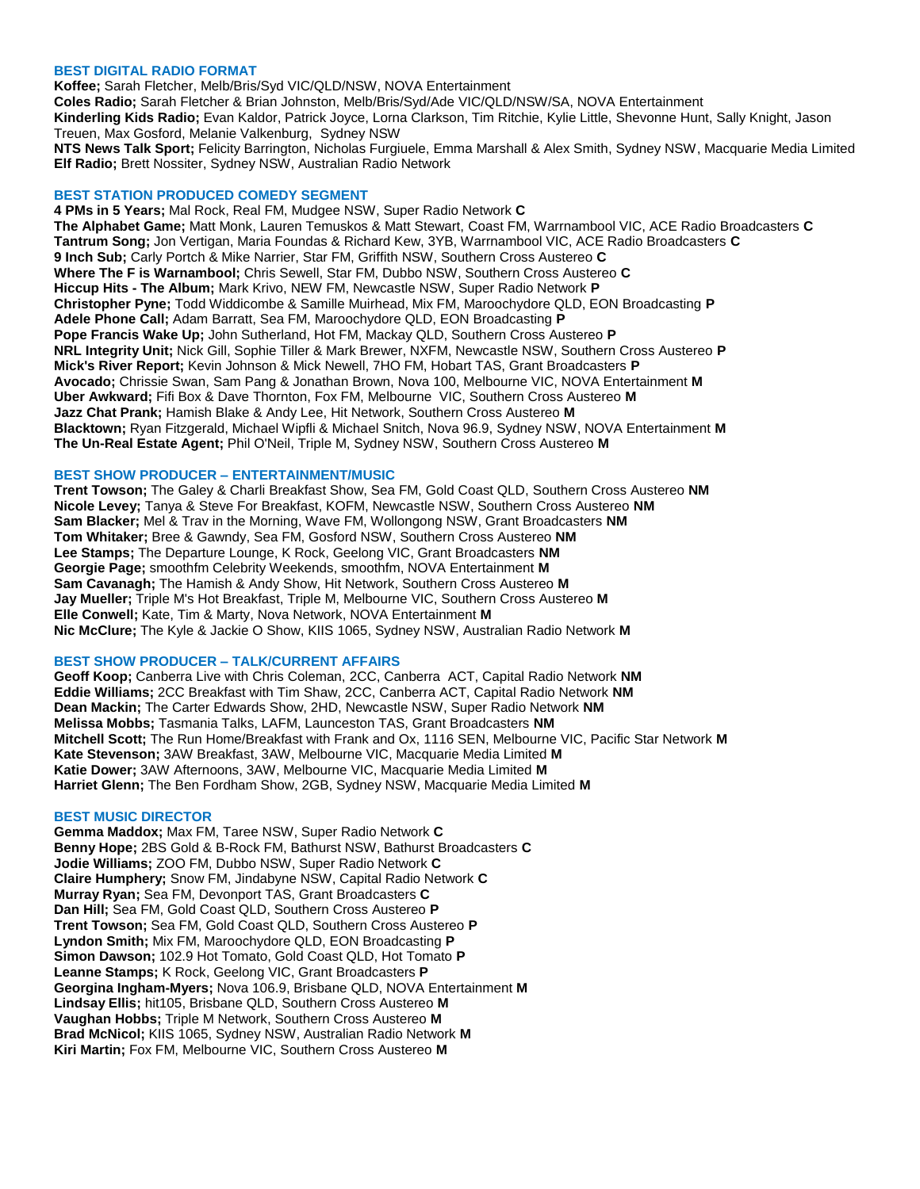### **BEST DIGITAL RADIO FORMAT**

**Koffee;** Sarah Fletcher, Melb/Bris/Syd VIC/QLD/NSW, NOVA Entertainment **Coles Radio;** Sarah Fletcher & Brian Johnston, Melb/Bris/Syd/Ade VIC/QLD/NSW/SA, NOVA Entertainment **Kinderling Kids Radio;** Evan Kaldor, Patrick Joyce, Lorna Clarkson, Tim Ritchie, Kylie Little, Shevonne Hunt, Sally Knight, Jason Treuen, Max Gosford, Melanie Valkenburg, Sydney NSW **NTS News Talk Sport;** Felicity Barrington, Nicholas Furgiuele, Emma Marshall & Alex Smith, Sydney NSW, Macquarie Media Limited **Elf Radio;** Brett Nossiter, Sydney NSW, Australian Radio Network

### **BEST STATION PRODUCED COMEDY SEGMENT**

**4 PMs in 5 Years;** Mal Rock, Real FM, Mudgee NSW, Super Radio Network **C The Alphabet Game;** Matt Monk, Lauren Temuskos & Matt Stewart, Coast FM, Warrnambool VIC, ACE Radio Broadcasters **C Tantrum Song;** Jon Vertigan, Maria Foundas & Richard Kew, 3YB, Warrnambool VIC, ACE Radio Broadcasters **C 9 Inch Sub;** Carly Portch & Mike Narrier, Star FM, Griffith NSW, Southern Cross Austereo **C Where The F is Warnambool;** Chris Sewell, Star FM, Dubbo NSW, Southern Cross Austereo **C Hiccup Hits - The Album;** Mark Krivo, NEW FM, Newcastle NSW, Super Radio Network **P Christopher Pyne;** Todd Widdicombe & Samille Muirhead, Mix FM, Maroochydore QLD, EON Broadcasting **P Adele Phone Call;** Adam Barratt, Sea FM, Maroochydore QLD, EON Broadcasting **P Pope Francis Wake Up;** John Sutherland, Hot FM, Mackay QLD, Southern Cross Austereo **P NRL Integrity Unit;** Nick Gill, Sophie Tiller & Mark Brewer, NXFM, Newcastle NSW, Southern Cross Austereo **P Mick's River Report;** Kevin Johnson & Mick Newell, 7HO FM, Hobart TAS, Grant Broadcasters **P Avocado;** Chrissie Swan, Sam Pang & Jonathan Brown, Nova 100, Melbourne VIC, NOVA Entertainment **M Uber Awkward;** Fifi Box & Dave Thornton, Fox FM, Melbourne VIC, Southern Cross Austereo **M Jazz Chat Prank;** Hamish Blake & Andy Lee, Hit Network, Southern Cross Austereo **M Blacktown;** Ryan Fitzgerald, Michael Wipfli & Michael Snitch, Nova 96.9, Sydney NSW, NOVA Entertainment **M The Un-Real Estate Agent;** Phil O'Neil, Triple M, Sydney NSW, Southern Cross Austereo **M**

### **BEST SHOW PRODUCER – ENTERTAINMENT/MUSIC**

**Trent Towson;** The Galey & Charli Breakfast Show, Sea FM, Gold Coast QLD, Southern Cross Austereo **NM Nicole Levey;** Tanya & Steve For Breakfast, KOFM, Newcastle NSW, Southern Cross Austereo **NM Sam Blacker;** Mel & Trav in the Morning, Wave FM, Wollongong NSW, Grant Broadcasters **NM Tom Whitaker;** Bree & Gawndy, Sea FM, Gosford NSW, Southern Cross Austereo **NM Lee Stamps;** The Departure Lounge, K Rock, Geelong VIC, Grant Broadcasters **NM Georgie Page;** smoothfm Celebrity Weekends, smoothfm, NOVA Entertainment **M Sam Cavanagh;** The Hamish & Andy Show, Hit Network, Southern Cross Austereo **M Jay Mueller;** Triple M's Hot Breakfast, Triple M, Melbourne VIC, Southern Cross Austereo **M Elle Conwell;** Kate, Tim & Marty, Nova Network, NOVA Entertainment **M Nic McClure;** The Kyle & Jackie O Show, KIIS 1065, Sydney NSW, Australian Radio Network **M**

## **BEST SHOW PRODUCER – TALK/CURRENT AFFAIRS**

**Geoff Koop;** Canberra Live with Chris Coleman, 2CC, Canberra ACT, Capital Radio Network **NM Eddie Williams;** 2CC Breakfast with Tim Shaw, 2CC, Canberra ACT, Capital Radio Network **NM Dean Mackin;** The Carter Edwards Show, 2HD, Newcastle NSW, Super Radio Network **NM Melissa Mobbs;** Tasmania Talks, LAFM, Launceston TAS, Grant Broadcasters **NM Mitchell Scott;** The Run Home/Breakfast with Frank and Ox, 1116 SEN, Melbourne VIC, Pacific Star Network **M Kate Stevenson;** 3AW Breakfast, 3AW, Melbourne VIC, Macquarie Media Limited **M Katie Dower;** 3AW Afternoons, 3AW, Melbourne VIC, Macquarie Media Limited **M Harriet Glenn;** The Ben Fordham Show, 2GB, Sydney NSW, Macquarie Media Limited **M**

## **BEST MUSIC DIRECTOR**

**Gemma Maddox;** Max FM, Taree NSW, Super Radio Network **C Benny Hope;** 2BS Gold & B-Rock FM, Bathurst NSW, Bathurst Broadcasters **C Jodie Williams;** ZOO FM, Dubbo NSW, Super Radio Network **C Claire Humphery;** Snow FM, Jindabyne NSW, Capital Radio Network **C Murray Ryan;** Sea FM, Devonport TAS, Grant Broadcasters **C Dan Hill;** Sea FM, Gold Coast QLD, Southern Cross Austereo **P Trent Towson;** Sea FM, Gold Coast QLD, Southern Cross Austereo **P Lyndon Smith;** Mix FM, Maroochydore QLD, EON Broadcasting **P Simon Dawson;** 102.9 Hot Tomato, Gold Coast QLD, Hot Tomato **P Leanne Stamps;** K Rock, Geelong VIC, Grant Broadcasters **P Georgina Ingham-Myers;** Nova 106.9, Brisbane QLD, NOVA Entertainment **M Lindsay Ellis;** hit105, Brisbane QLD, Southern Cross Austereo **M Vaughan Hobbs;** Triple M Network, Southern Cross Austereo **M Brad McNicol;** KIIS 1065, Sydney NSW, Australian Radio Network **M Kiri Martin;** Fox FM, Melbourne VIC, Southern Cross Austereo **M**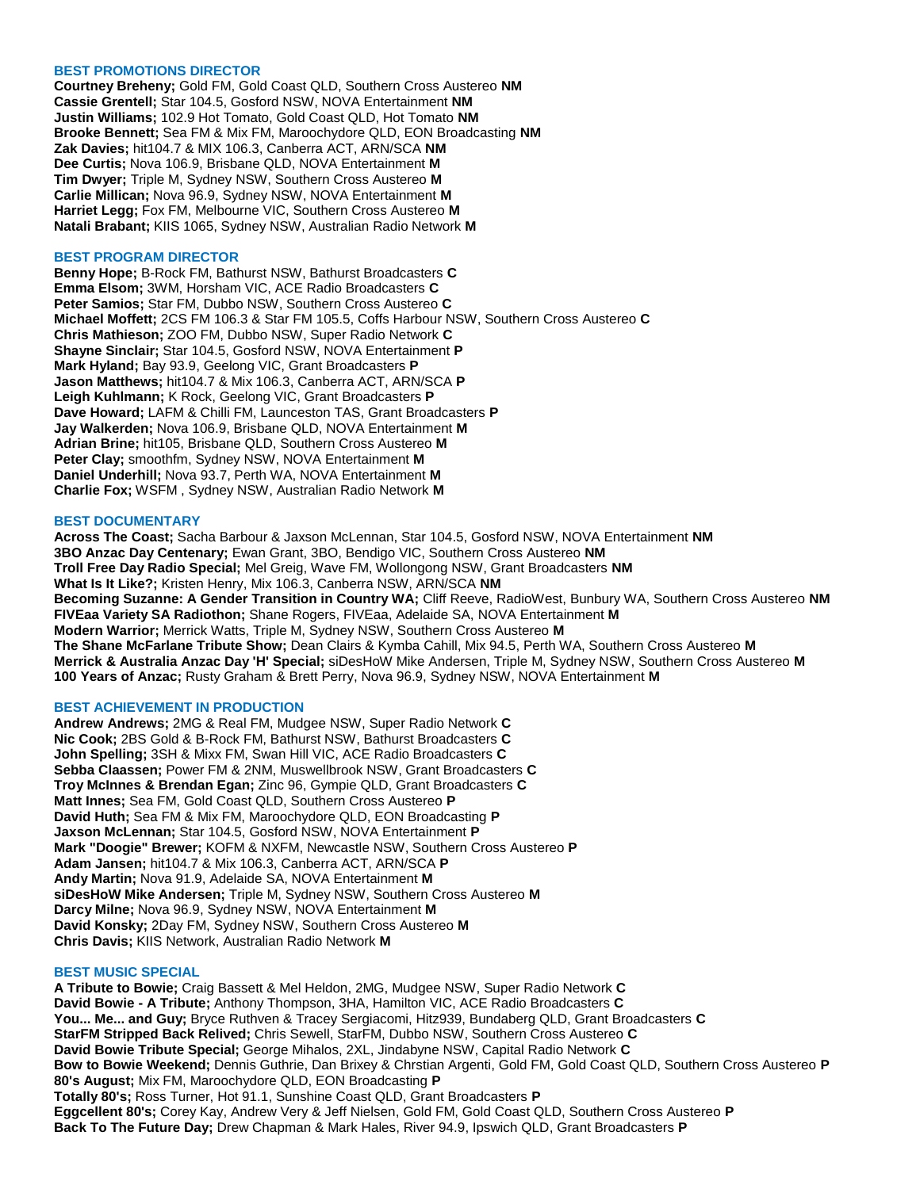## **BEST PROMOTIONS DIRECTOR**

**Courtney Breheny;** Gold FM, Gold Coast QLD, Southern Cross Austereo **NM Cassie Grentell;** Star 104.5, Gosford NSW, NOVA Entertainment **NM Justin Williams;** 102.9 Hot Tomato, Gold Coast QLD, Hot Tomato **NM Brooke Bennett;** Sea FM & Mix FM, Maroochydore QLD, EON Broadcasting **NM Zak Davies;** hit104.7 & MIX 106.3, Canberra ACT, ARN/SCA **NM Dee Curtis;** Nova 106.9, Brisbane QLD, NOVA Entertainment **M Tim Dwyer;** Triple M, Sydney NSW, Southern Cross Austereo **M Carlie Millican;** Nova 96.9, Sydney NSW, NOVA Entertainment **M Harriet Legg;** Fox FM, Melbourne VIC, Southern Cross Austereo **M Natali Brabant;** KIIS 1065, Sydney NSW, Australian Radio Network **M**

### **BEST PROGRAM DIRECTOR**

**Benny Hope;** B-Rock FM, Bathurst NSW, Bathurst Broadcasters **C Emma Elsom;** 3WM, Horsham VIC, ACE Radio Broadcasters **C Peter Samios;** Star FM, Dubbo NSW, Southern Cross Austereo **C Michael Moffett;** 2CS FM 106.3 & Star FM 105.5, Coffs Harbour NSW, Southern Cross Austereo **C Chris Mathieson;** ZOO FM, Dubbo NSW, Super Radio Network **C Shayne Sinclair;** Star 104.5, Gosford NSW, NOVA Entertainment **P Mark Hyland;** Bay 93.9, Geelong VIC, Grant Broadcasters **P Jason Matthews;** hit104.7 & Mix 106.3, Canberra ACT, ARN/SCA **P Leigh Kuhlmann;** K Rock, Geelong VIC, Grant Broadcasters **P Dave Howard;** LAFM & Chilli FM, Launceston TAS, Grant Broadcasters **P Jay Walkerden;** Nova 106.9, Brisbane QLD, NOVA Entertainment **M Adrian Brine;** hit105, Brisbane QLD, Southern Cross Austereo **M Peter Clay;** smoothfm, Sydney NSW, NOVA Entertainment **M Daniel Underhill;** Nova 93.7, Perth WA, NOVA Entertainment **M Charlie Fox;** WSFM , Sydney NSW, Australian Radio Network **M**

### **BEST DOCUMENTARY**

**Across The Coast;** Sacha Barbour & Jaxson McLennan, Star 104.5, Gosford NSW, NOVA Entertainment **NM 3BO Anzac Day Centenary;** Ewan Grant, 3BO, Bendigo VIC, Southern Cross Austereo **NM Troll Free Day Radio Special;** Mel Greig, Wave FM, Wollongong NSW, Grant Broadcasters **NM What Is It Like?;** Kristen Henry, Mix 106.3, Canberra NSW, ARN/SCA **NM Becoming Suzanne: A Gender Transition in Country WA;** Cliff Reeve, RadioWest, Bunbury WA, Southern Cross Austereo **NM FIVEaa Variety SA Radiothon;** Shane Rogers, FIVEaa, Adelaide SA, NOVA Entertainment **M Modern Warrior;** Merrick Watts, Triple M, Sydney NSW, Southern Cross Austereo **M The Shane McFarlane Tribute Show;** Dean Clairs & Kymba Cahill, Mix 94.5, Perth WA, Southern Cross Austereo **M Merrick & Australia Anzac Day 'H' Special;** siDesHoW Mike Andersen, Triple M, Sydney NSW, Southern Cross Austereo **M 100 Years of Anzac;** Rusty Graham & Brett Perry, Nova 96.9, Sydney NSW, NOVA Entertainment **M**

## **BEST ACHIEVEMENT IN PRODUCTION**

**Andrew Andrews;** 2MG & Real FM, Mudgee NSW, Super Radio Network **C Nic Cook;** 2BS Gold & B-Rock FM, Bathurst NSW, Bathurst Broadcasters **C John Spelling;** 3SH & Mixx FM, Swan Hill VIC, ACE Radio Broadcasters **C Sebba Claassen;** Power FM & 2NM, Muswellbrook NSW, Grant Broadcasters **C Troy McInnes & Brendan Egan;** Zinc 96, Gympie QLD, Grant Broadcasters **C Matt Innes;** Sea FM, Gold Coast QLD, Southern Cross Austereo **P David Huth;** Sea FM & Mix FM, Maroochydore QLD, EON Broadcasting **P Jaxson McLennan;** Star 104.5, Gosford NSW, NOVA Entertainment **P Mark "Doogie" Brewer;** KOFM & NXFM, Newcastle NSW, Southern Cross Austereo **P Adam Jansen;** hit104.7 & Mix 106.3, Canberra ACT, ARN/SCA **P Andy Martin;** Nova 91.9, Adelaide SA, NOVA Entertainment **M siDesHoW Mike Andersen;** Triple M, Sydney NSW, Southern Cross Austereo **M Darcy Milne;** Nova 96.9, Sydney NSW, NOVA Entertainment **M David Konsky;** 2Day FM, Sydney NSW, Southern Cross Austereo **M Chris Davis;** KIIS Network, Australian Radio Network **M**

## **BEST MUSIC SPECIAL**

**A Tribute to Bowie;** Craig Bassett & Mel Heldon, 2MG, Mudgee NSW, Super Radio Network **C David Bowie - A Tribute;** Anthony Thompson, 3HA, Hamilton VIC, ACE Radio Broadcasters **C You... Me... and Guy;** Bryce Ruthven & Tracey Sergiacomi, Hitz939, Bundaberg QLD, Grant Broadcasters **C StarFM Stripped Back Relived;** Chris Sewell, StarFM, Dubbo NSW, Southern Cross Austereo **C David Bowie Tribute Special;** George Mihalos, 2XL, Jindabyne NSW, Capital Radio Network **C Bow to Bowie Weekend;** Dennis Guthrie, Dan Brixey & Chrstian Argenti, Gold FM, Gold Coast QLD, Southern Cross Austereo **P 80's August;** Mix FM, Maroochydore QLD, EON Broadcasting **P Totally 80's;** Ross Turner, Hot 91.1, Sunshine Coast QLD, Grant Broadcasters **P Eggcellent 80's;** Corey Kay, Andrew Very & Jeff Nielsen, Gold FM, Gold Coast QLD, Southern Cross Austereo **P Back To The Future Day;** Drew Chapman & Mark Hales, River 94.9, Ipswich QLD, Grant Broadcasters **P**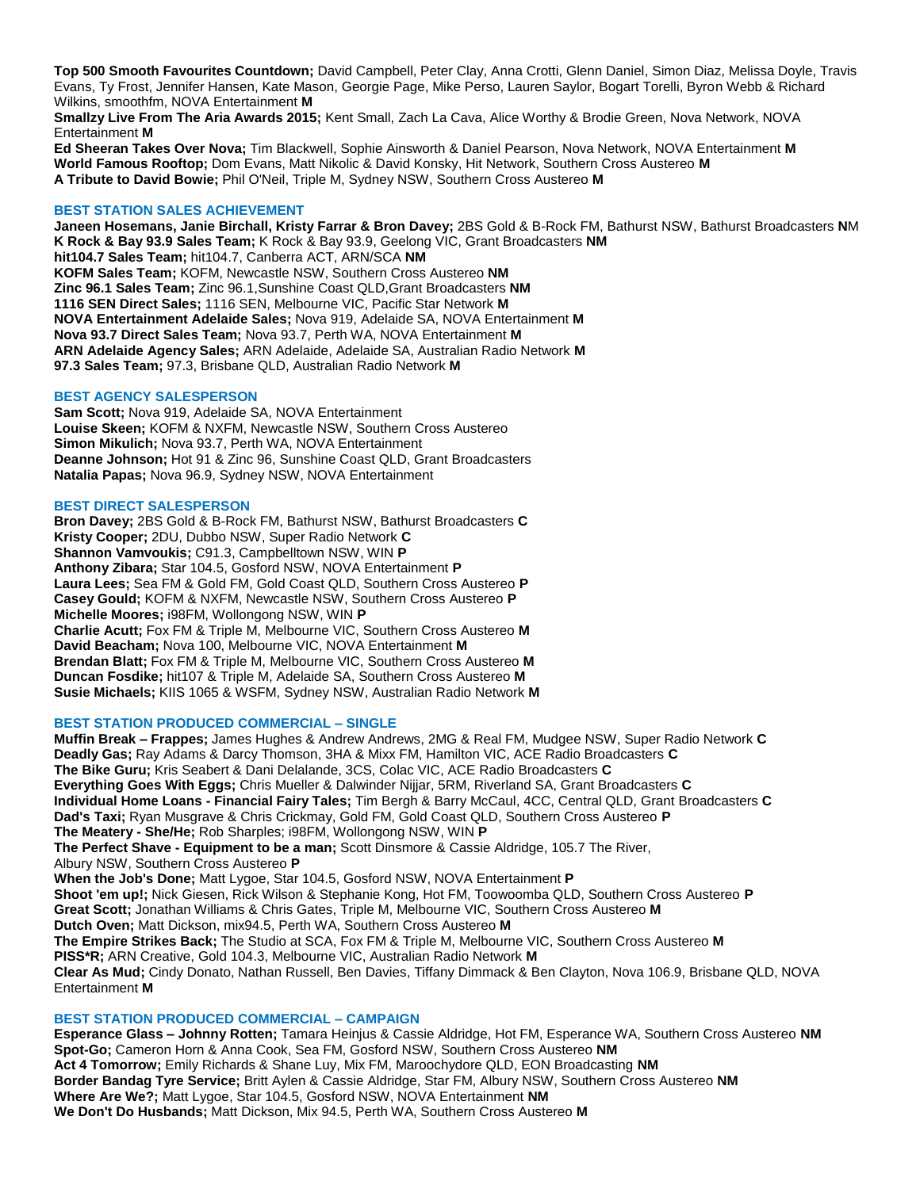**Top 500 Smooth Favourites Countdown;** David Campbell, Peter Clay, Anna Crotti, Glenn Daniel, Simon Diaz, Melissa Doyle, Travis Evans, Ty Frost, Jennifer Hansen, Kate Mason, Georgie Page, Mike Perso, Lauren Saylor, Bogart Torelli, Byron Webb & Richard Wilkins, smoothfm, NOVA Entertainment **M**

**Smallzy Live From The Aria Awards 2015;** Kent Small, Zach La Cava, Alice Worthy & Brodie Green, Nova Network, NOVA Entertainment **M**

**Ed Sheeran Takes Over Nova;** Tim Blackwell, Sophie Ainsworth & Daniel Pearson, Nova Network, NOVA Entertainment **M World Famous Rooftop;** Dom Evans, Matt Nikolic & David Konsky, Hit Network, Southern Cross Austereo **M A Tribute to David Bowie;** Phil O'Neil, Triple M, Sydney NSW, Southern Cross Austereo **M**

## **BEST STATION SALES ACHIEVEMENT**

**Janeen Hosemans, Janie Birchall, Kristy Farrar & Bron Davey;** 2BS Gold & B-Rock FM, Bathurst NSW, Bathurst Broadcasters **N**M **K Rock & Bay 93.9 Sales Team;** K Rock & Bay 93.9, Geelong VIC, Grant Broadcasters **NM hit104.7 Sales Team;** hit104.7, Canberra ACT, ARN/SCA **NM KOFM Sales Team;** KOFM, Newcastle NSW, Southern Cross Austereo **NM Zinc 96.1 Sales Team;** Zinc 96.1,Sunshine Coast QLD,Grant Broadcasters **NM 1116 SEN Direct Sales;** 1116 SEN, Melbourne VIC, Pacific Star Network **M NOVA Entertainment Adelaide Sales;** Nova 919, Adelaide SA, NOVA Entertainment **M Nova 93.7 Direct Sales Team;** Nova 93.7, Perth WA, NOVA Entertainment **M ARN Adelaide Agency Sales;** ARN Adelaide, Adelaide SA, Australian Radio Network **M 97.3 Sales Team;** 97.3, Brisbane QLD, Australian Radio Network **M**

### **BEST AGENCY SALESPERSON**

**Sam Scott;** Nova 919, Adelaide SA, NOVA Entertainment **Louise Skeen;** KOFM & NXFM, Newcastle NSW, Southern Cross Austereo **Simon Mikulich;** Nova 93.7, Perth WA, NOVA Entertainment **Deanne Johnson;** Hot 91 & Zinc 96, Sunshine Coast QLD, Grant Broadcasters **Natalia Papas;** Nova 96.9, Sydney NSW, NOVA Entertainment

### **BEST DIRECT SALESPERSON**

**Bron Davey;** 2BS Gold & B-Rock FM, Bathurst NSW, Bathurst Broadcasters **C Kristy Cooper;** 2DU, Dubbo NSW, Super Radio Network **C Shannon Vamvoukis;** C91.3, Campbelltown NSW, WIN **P Anthony Zibara;** Star 104.5, Gosford NSW, NOVA Entertainment **P Laura Lees;** Sea FM & Gold FM, Gold Coast QLD, Southern Cross Austereo **P Casey Gould;** KOFM & NXFM, Newcastle NSW, Southern Cross Austereo **P Michelle Moores;** i98FM, Wollongong NSW, WIN **P Charlie Acutt;** Fox FM & Triple M, Melbourne VIC, Southern Cross Austereo **M David Beacham;** Nova 100, Melbourne VIC, NOVA Entertainment **M Brendan Blatt;** Fox FM & Triple M, Melbourne VIC, Southern Cross Austereo **M Duncan Fosdike;** hit107 & Triple M, Adelaide SA, Southern Cross Austereo **M Susie Michaels;** KIIS 1065 & WSFM, Sydney NSW, Australian Radio Network **M**

#### **BEST STATION PRODUCED COMMERCIAL – SINGLE**

**Muffin Break – Frappes;** James Hughes & Andrew Andrews, 2MG & Real FM, Mudgee NSW, Super Radio Network **C Deadly Gas;** Ray Adams & Darcy Thomson, 3HA & Mixx FM, Hamilton VIC, ACE Radio Broadcasters **C The Bike Guru;** Kris Seabert & Dani Delalande, 3CS, Colac VIC, ACE Radio Broadcasters **C Everything Goes With Eggs;** Chris Mueller & Dalwinder Nijjar, 5RM, Riverland SA, Grant Broadcasters **C Individual Home Loans - Financial Fairy Tales;** Tim Bergh & Barry McCaul, 4CC, Central QLD, Grant Broadcasters **C Dad's Taxi;** Ryan Musgrave & Chris Crickmay, Gold FM, Gold Coast QLD, Southern Cross Austereo **P The Meatery - She/He;** Rob Sharples; i98FM, Wollongong NSW, WIN **P The Perfect Shave - Equipment to be a man;** Scott Dinsmore & Cassie Aldridge, 105.7 The River, Albury NSW, Southern Cross Austereo **P When the Job's Done;** Matt Lygoe, Star 104.5, Gosford NSW, NOVA Entertainment **P Shoot 'em up!;** Nick Giesen, Rick Wilson & Stephanie Kong, Hot FM, Toowoomba QLD, Southern Cross Austereo **P Great Scott;** Jonathan Williams & Chris Gates, Triple M, Melbourne VIC, Southern Cross Austereo **M Dutch Oven;** Matt Dickson, mix94.5, Perth WA, Southern Cross Austereo **M The Empire Strikes Back;** The Studio at SCA, Fox FM & Triple M, Melbourne VIC, Southern Cross Austereo **M PISS\*R;** ARN Creative, Gold 104.3, Melbourne VIC, Australian Radio Network **M Clear As Mud;** Cindy Donato, Nathan Russell, Ben Davies, Tiffany Dimmack & Ben Clayton, Nova 106.9, Brisbane QLD, NOVA Entertainment **M**

## **BEST STATION PRODUCED COMMERCIAL – CAMPAIGN**

**Esperance Glass – Johnny Rotten;** Tamara Heinjus & Cassie Aldridge, Hot FM, Esperance WA, Southern Cross Austereo **NM Spot-Go;** Cameron Horn & Anna Cook, Sea FM, Gosford NSW, Southern Cross Austereo **NM Act 4 Tomorrow;** Emily Richards & Shane Luy, Mix FM, Maroochydore QLD, EON Broadcasting **NM Border Bandag Tyre Service;** Britt Aylen & Cassie Aldridge, Star FM, Albury NSW, Southern Cross Austereo **NM Where Are We?;** Matt Lygoe, Star 104.5, Gosford NSW, NOVA Entertainment **NM We Don't Do Husbands;** Matt Dickson, Mix 94.5, Perth WA, Southern Cross Austereo **M**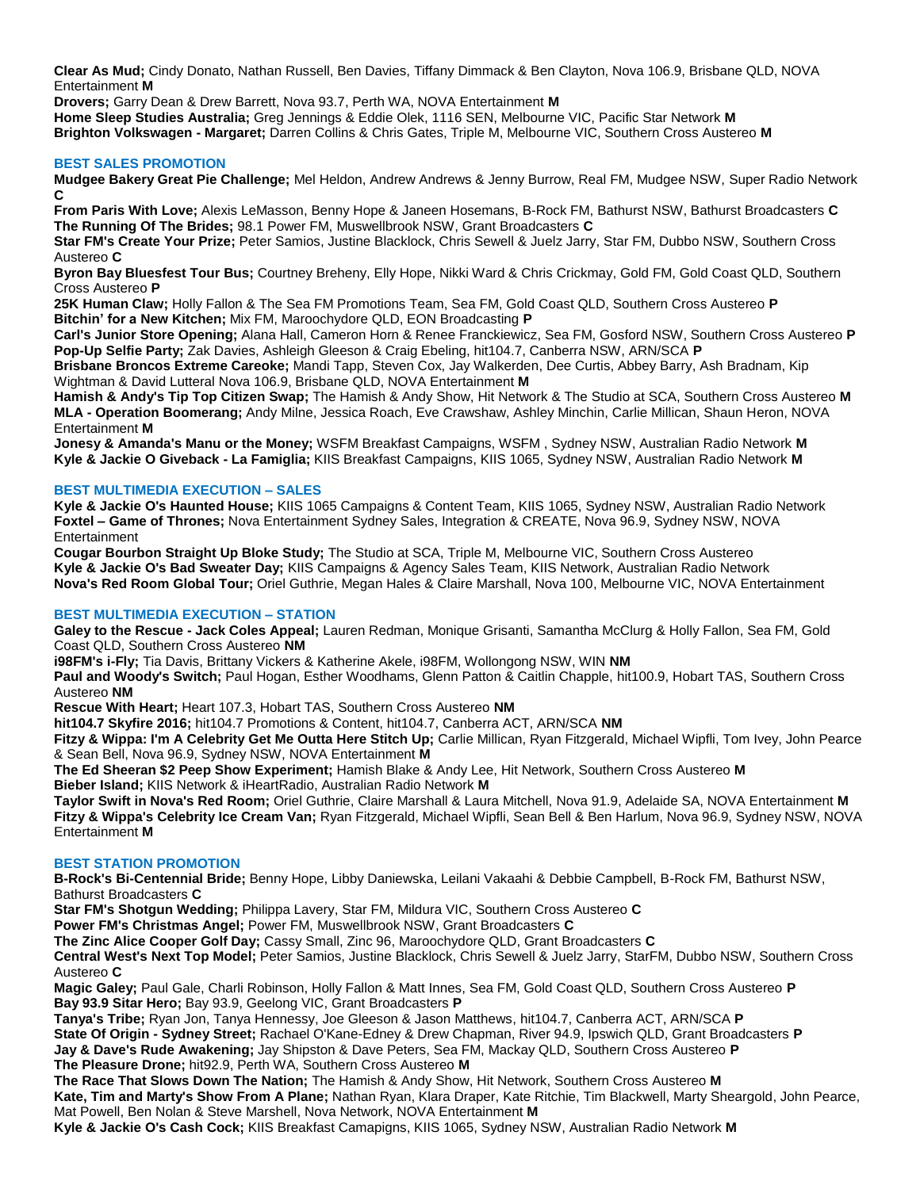**Clear As Mud;** Cindy Donato, Nathan Russell, Ben Davies, Tiffany Dimmack & Ben Clayton, Nova 106.9, Brisbane QLD, NOVA Entertainment **M**

**Drovers;** Garry Dean & Drew Barrett, Nova 93.7, Perth WA, NOVA Entertainment **M Home Sleep Studies Australia;** Greg Jennings & Eddie Olek, 1116 SEN, Melbourne VIC, Pacific Star Network **M Brighton Volkswagen - Margaret;** Darren Collins & Chris Gates, Triple M, Melbourne VIC, Southern Cross Austereo **M**

## **BEST SALES PROMOTION**

**Mudgee Bakery Great Pie Challenge;** Mel Heldon, Andrew Andrews & Jenny Burrow, Real FM, Mudgee NSW, Super Radio Network **C**

**From Paris With Love;** Alexis LeMasson, Benny Hope & Janeen Hosemans, B-Rock FM, Bathurst NSW, Bathurst Broadcasters **C The Running Of The Brides;** 98.1 Power FM, Muswellbrook NSW, Grant Broadcasters **C**

**Star FM's Create Your Prize;** Peter Samios, Justine Blacklock, Chris Sewell & Juelz Jarry, Star FM, Dubbo NSW, Southern Cross Austereo **C**

**Byron Bay Bluesfest Tour Bus;** Courtney Breheny, Elly Hope, Nikki Ward & Chris Crickmay, Gold FM, Gold Coast QLD, Southern Cross Austereo **P**

**25K Human Claw;** Holly Fallon & The Sea FM Promotions Team, Sea FM, Gold Coast QLD, Southern Cross Austereo **P Bitchin' for a New Kitchen;** Mix FM, Maroochydore QLD, EON Broadcasting **P**

**Carl's Junior Store Opening;** Alana Hall, Cameron Horn & Renee Franckiewicz, Sea FM, Gosford NSW, Southern Cross Austereo **P Pop-Up Selfie Party;** Zak Davies, Ashleigh Gleeson & Craig Ebeling, hit104.7, Canberra NSW, ARN/SCA **P**

**Brisbane Broncos Extreme Careoke;** Mandi Tapp, Steven Cox, Jay Walkerden, Dee Curtis, Abbey Barry, Ash Bradnam, Kip Wightman & David Lutteral Nova 106.9, Brisbane QLD, NOVA Entertainment **M**

**Hamish & Andy's Tip Top Citizen Swap;** The Hamish & Andy Show, Hit Network & The Studio at SCA, Southern Cross Austereo **M MLA - Operation Boomerang;** Andy Milne, Jessica Roach, Eve Crawshaw, Ashley Minchin, Carlie Millican, Shaun Heron, NOVA Entertainment **M**

**Jonesy & Amanda's Manu or the Money;** WSFM Breakfast Campaigns, WSFM , Sydney NSW, Australian Radio Network **M Kyle & Jackie O Giveback - La Famiglia;** KIIS Breakfast Campaigns, KIIS 1065, Sydney NSW, Australian Radio Network **M**

## **BEST MULTIMEDIA EXECUTION – SALES**

**Kyle & Jackie O's Haunted House;** KIIS 1065 Campaigns & Content Team, KIIS 1065, Sydney NSW, Australian Radio Network **Foxtel – Game of Thrones;** Nova Entertainment Sydney Sales, Integration & CREATE, Nova 96.9, Sydney NSW, NOVA Entertainment

**Cougar Bourbon Straight Up Bloke Study;** The Studio at SCA, Triple M, Melbourne VIC, Southern Cross Austereo **Kyle & Jackie O's Bad Sweater Day;** KIIS Campaigns & Agency Sales Team, KIIS Network, Australian Radio Network **Nova's Red Room Global Tour;** Oriel Guthrie, Megan Hales & Claire Marshall, Nova 100, Melbourne VIC, NOVA Entertainment

# **BEST MULTIMEDIA EXECUTION – STATION**

**Galey to the Rescue - Jack Coles Appeal;** Lauren Redman, Monique Grisanti, Samantha McClurg & Holly Fallon, Sea FM, Gold Coast QLD, Southern Cross Austereo **NM**

**i98FM's i-Fly;** Tia Davis, Brittany Vickers & Katherine Akele, i98FM, Wollongong NSW, WIN **NM**

**Paul and Woody's Switch;** Paul Hogan, Esther Woodhams, Glenn Patton & Caitlin Chapple, hit100.9, Hobart TAS, Southern Cross Austereo **NM**

**Rescue With Heart;** Heart 107.3, Hobart TAS, Southern Cross Austereo **NM**

**hit104.7 Skyfire 2016;** hit104.7 Promotions & Content, hit104.7, Canberra ACT, ARN/SCA **NM**

**Fitzy & Wippa: I'm A Celebrity Get Me Outta Here Stitch Up;** Carlie Millican, Ryan Fitzgerald, Michael Wipfli, Tom Ivey, John Pearce & Sean Bell, Nova 96.9, Sydney NSW, NOVA Entertainment **M**

**The Ed Sheeran \$2 Peep Show Experiment;** Hamish Blake & Andy Lee, Hit Network, Southern Cross Austereo **M Bieber Island;** KIIS Network & iHeartRadio, Australian Radio Network **M**

**Taylor Swift in Nova's Red Room;** Oriel Guthrie, Claire Marshall & Laura Mitchell, Nova 91.9, Adelaide SA, NOVA Entertainment **M Fitzy & Wippa's Celebrity Ice Cream Van;** Ryan Fitzgerald, Michael Wipfli, Sean Bell & Ben Harlum, Nova 96.9, Sydney NSW, NOVA Entertainment **M**

## **BEST STATION PROMOTION**

**B-Rock's Bi-Centennial Bride;** Benny Hope, Libby Daniewska, Leilani Vakaahi & Debbie Campbell, B-Rock FM, Bathurst NSW, Bathurst Broadcasters **C**

**Star FM's Shotgun Wedding;** Philippa Lavery, Star FM, Mildura VIC, Southern Cross Austereo **C**

**Power FM's Christmas Angel;** Power FM, Muswellbrook NSW, Grant Broadcasters **C**

**The Zinc Alice Cooper Golf Day;** Cassy Small, Zinc 96, Maroochydore QLD, Grant Broadcasters **C**

**Central West's Next Top Model;** Peter Samios, Justine Blacklock, Chris Sewell & Juelz Jarry, StarFM, Dubbo NSW, Southern Cross Austereo **C**

**Magic Galey;** Paul Gale, Charli Robinson, Holly Fallon & Matt Innes, Sea FM, Gold Coast QLD, Southern Cross Austereo **P Bay 93.9 Sitar Hero;** Bay 93.9, Geelong VIC, Grant Broadcasters **P**

**Tanya's Tribe;** Ryan Jon, Tanya Hennessy, Joe Gleeson & Jason Matthews, hit104.7, Canberra ACT, ARN/SCA **P State Of Origin - Sydney Street;** Rachael O'Kane-Edney & Drew Chapman, River 94.9, Ipswich QLD, Grant Broadcasters **P Jay & Dave's Rude Awakening;** Jay Shipston & Dave Peters, Sea FM, Mackay QLD, Southern Cross Austereo **P The Pleasure Drone;** hit92.9, Perth WA, Southern Cross Austereo **M**

**The Race That Slows Down The Nation;** The Hamish & Andy Show, Hit Network, Southern Cross Austereo **M Kate, Tim and Marty's Show From A Plane;** Nathan Ryan, Klara Draper, Kate Ritchie, Tim Blackwell, Marty Sheargold, John Pearce, Mat Powell, Ben Nolan & Steve Marshell, Nova Network, NOVA Entertainment **M**

**Kyle & Jackie O's Cash Cock;** KIIS Breakfast Camapigns, KIIS 1065, Sydney NSW, Australian Radio Network **M**